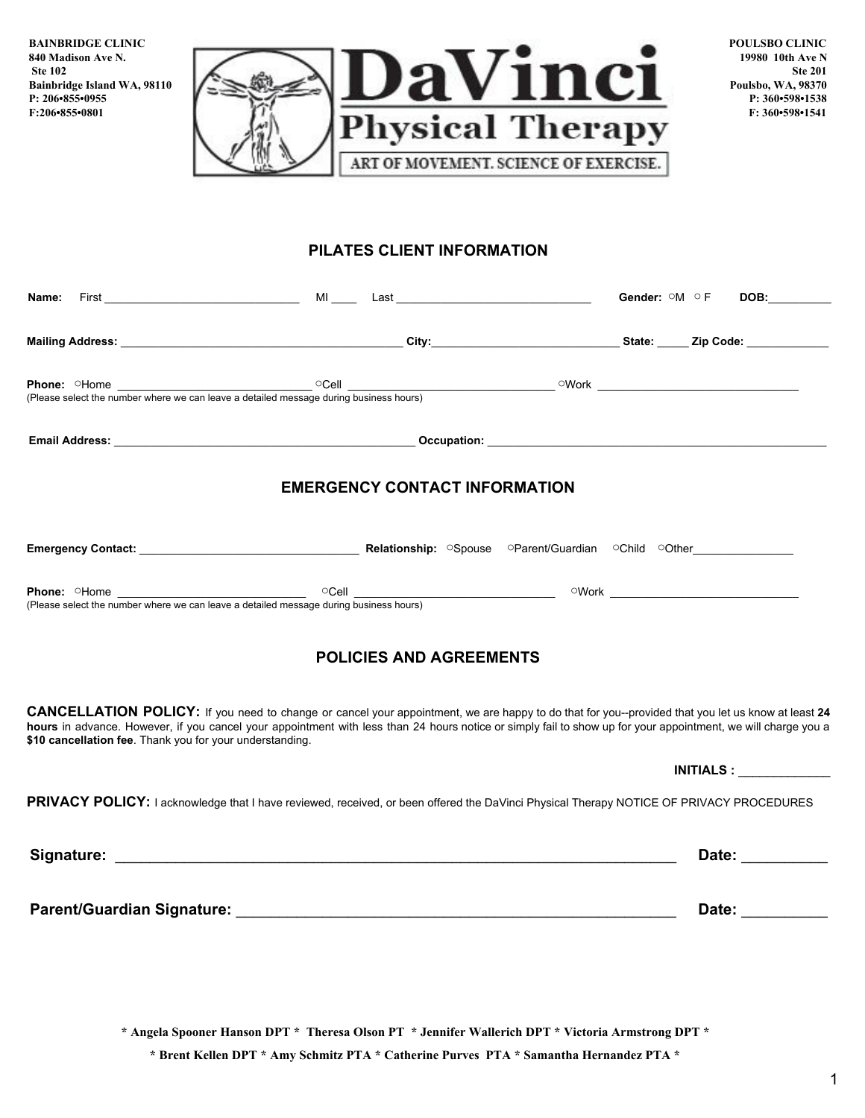**BAINBRIDGE CLINIC 840 Madison Ave N. Ste 102 Bainbridge Island WA, 98110 P: 206•855•0955 F:206•855•0801**



**POULSBO CLINIC 19980 10th Ave N Ste 201 Poulsbo, WA, 98370 P: 360•598•1538 F: 360•598•1541**

## **PILATES CLIENT INFORMATION**

| Name:                                                                                                                                                                                                                                                                                                                                                                          |                                      | Gender: OM OF | DOB:___________  |
|--------------------------------------------------------------------------------------------------------------------------------------------------------------------------------------------------------------------------------------------------------------------------------------------------------------------------------------------------------------------------------|--------------------------------------|---------------|------------------|
|                                                                                                                                                                                                                                                                                                                                                                                |                                      |               |                  |
| <b>Phone:</b> OHome <u>Cell</u> Cell Compared a set of the number where we can leave a detailed message during business hours)                                                                                                                                                                                                                                                 |                                      |               |                  |
|                                                                                                                                                                                                                                                                                                                                                                                |                                      |               |                  |
|                                                                                                                                                                                                                                                                                                                                                                                | <b>EMERGENCY CONTACT INFORMATION</b> |               |                  |
|                                                                                                                                                                                                                                                                                                                                                                                |                                      |               |                  |
| Phone: OHome Cell OCell Cell Changes of Cell Changes of Cell Changes of Cell Changes and Changes of Cell Changes and Changes of Cell Changes and Changes of Cell Changes and Changes of Cell Changes and Changes of Cell Chang                                                                                                                                                 |                                      |               |                  |
|                                                                                                                                                                                                                                                                                                                                                                                | <b>POLICIES AND AGREEMENTS</b>       |               |                  |
| CANCELLATION POLICY: If you need to change or cancel your appointment, we are happy to do that for you--provided that you let us know at least 24<br>hours in advance. However, if you cancel your appointment with less than 24 hours notice or simply fail to show up for your appointment, we will charge you a<br>\$10 cancellation fee. Thank you for your understanding. |                                      |               |                  |
|                                                                                                                                                                                                                                                                                                                                                                                |                                      |               |                  |
| PRIVACY POLICY: I acknowledge that I have reviewed, received, or been offered the DaVinci Physical Therapy NOTICE OF PRIVACY PROCEDURES                                                                                                                                                                                                                                        |                                      |               |                  |
|                                                                                                                                                                                                                                                                                                                                                                                |                                      |               | Date: __________ |
|                                                                                                                                                                                                                                                                                                                                                                                |                                      |               | Date: __________ |
|                                                                                                                                                                                                                                                                                                                                                                                |                                      |               |                  |

**\* Angela Spooner Hanson DPT \* Theresa Olson PT \* Jennifer Wallerich DPT \* Victoria Armstrong DPT \***

 **\* Brent Kellen DPT \* Amy Schmitz PTA \* Catherine Purves PTA \* Samantha Hernandez PTA \***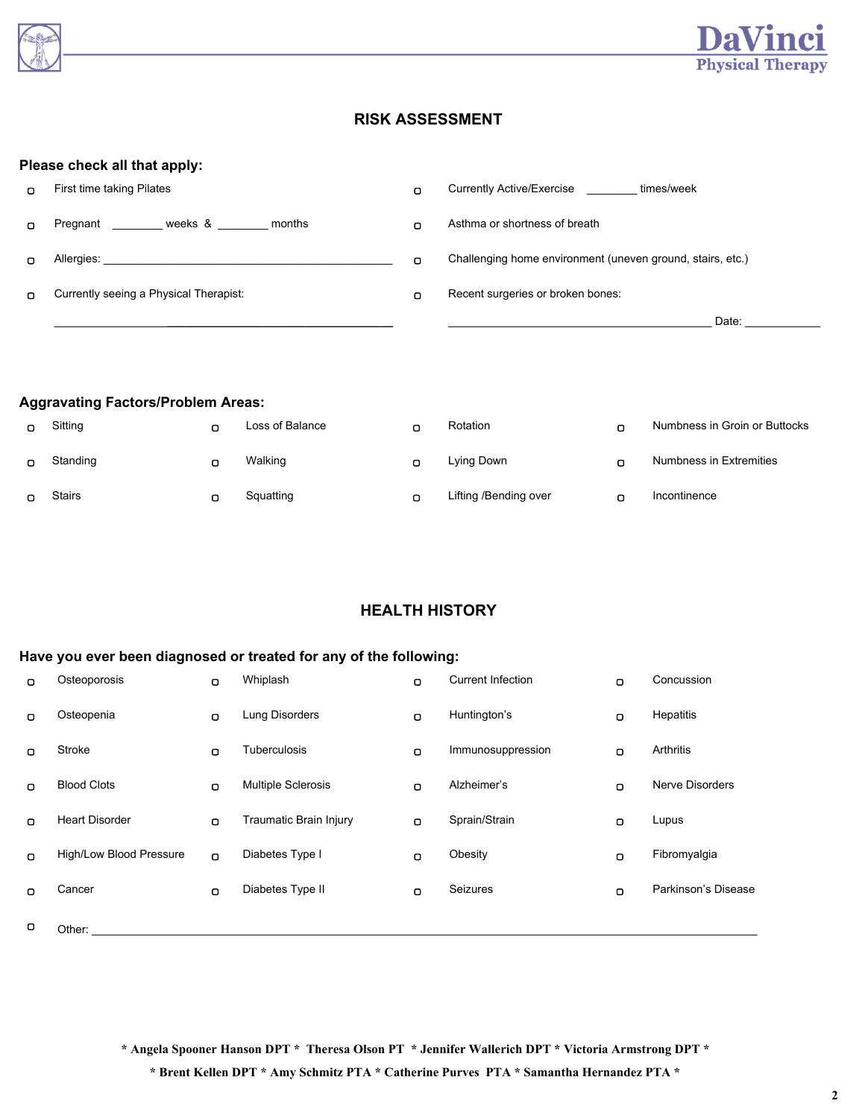



# **RISK ASSESSMENT**

#### **Please check all that apply:**

| n. | First time taking Pilates              |   | Currently Active/Exercise<br>times/week                    |
|----|----------------------------------------|---|------------------------------------------------------------|
| n  | weeks &<br>Pregnant<br>months          |   | Asthma or shortness of breath                              |
| n  | Allergies:                             | n | Challenging home environment (uneven ground, stairs, etc.) |
| n. | Currently seeing a Physical Therapist: | Ω | Recent surgeries or broken bones:                          |
|    |                                        |   | Date:                                                      |

#### **Aggravating Factors/Problem Areas:**

| n. | Sitting  | Loss of Balance | $\Box$ | Rotation              | о | Numbness in Groin or Buttocks |
|----|----------|-----------------|--------|-----------------------|---|-------------------------------|
|    | Standing | Walking         | ◠      | Lying Down            | о | Numbness in Extremities       |
|    | Stairs   | Squatting       | n      | Lifting /Bending over | о | Incontinence                  |

## **HEALTH HISTORY**

### **Have you ever been diagnosed or treated for any of the following:**

| $\Box$ | Osteoporosis            | $\Box$ | Whiplash                  | O | <b>Current Infection</b> | $\Box$ | Concussion             |
|--------|-------------------------|--------|---------------------------|---|--------------------------|--------|------------------------|
| $\Box$ | Osteopenia              | $\Box$ | Lung Disorders            | O | Huntington's             | $\Box$ | Hepatitis              |
| $\Box$ | Stroke                  | $\Box$ | <b>Tuberculosis</b>       | O | Immunosuppression        | $\Box$ | Arthritis              |
| $\Box$ | <b>Blood Clots</b>      | $\Box$ | <b>Multiple Sclerosis</b> | O | Alzheimer's              | O      | <b>Nerve Disorders</b> |
| $\Box$ | <b>Heart Disorder</b>   | $\Box$ | Traumatic Brain Injury    | O | Sprain/Strain            | $\Box$ | Lupus                  |
| $\Box$ | High/Low Blood Pressure | $\Box$ | Diabetes Type I           | O | Obesity                  | $\Box$ | Fibromyalgia           |
| $\Box$ | Cancer                  | $\Box$ | Diabetes Type II          | O | Seizures                 | $\Box$ | Parkinson's Disease    |
| o      | Other:                  |        |                           |   |                          |        |                        |

**\* Angela Spooner Hanson DPT \* Theresa Olson PT \* Jennifer Wallerich DPT \* Victoria Armstrong DPT \***

 **\* Brent Kellen DPT \* Amy Schmitz PTA \* Catherine Purves PTA \* Samantha Hernandez PTA \***